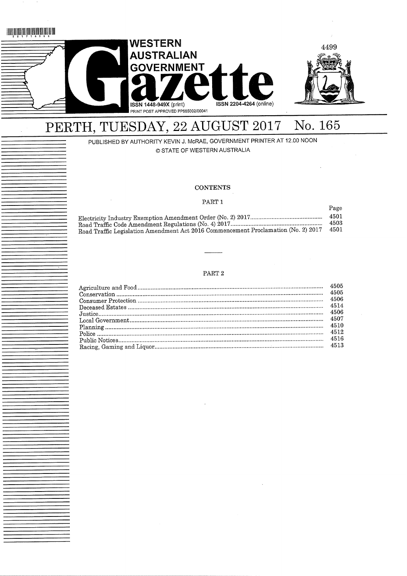# <u> HIRIN İN İNTINDIR İN İNDI</u>



# PERTH, TUESDAY, 22 AUGUST 2017 No. 165

PUBLISHED BY AUTHORITY KEVIN J. McRAE, GOVERNMENT PRINTER AT 12.00 NOON © STATE OF WESTERN AUSTRALIA

# **CONTENTS**

## PART 1

Page

 $1 - 0$ 

|                                                                                         | -4501 |
|-----------------------------------------------------------------------------------------|-------|
|                                                                                         | 4503  |
| Road Traffic Legislation Amendment Act 2016 Commencement Proclamation (No. 2) 2017 4501 |       |
|                                                                                         |       |

# PART $2$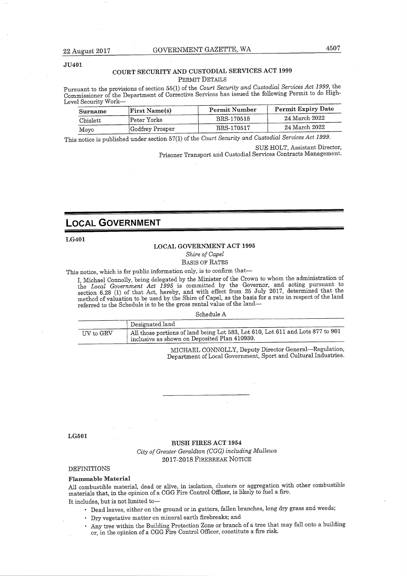# COURT SECURITY AND CUSTODIAL SERVICES ACT 1999 PERMIT DETAILS

ursuant to the provisions of section  $55(1)$  of the Court Security and Customial Services Act 1999, the Commissioner of the Department of Corrective Seryices has issued the following Permit to do High-Level Security Work—

| Surname  | <b>First Name(s)</b> | Permit Number | Permit Expiry Date |
|----------|----------------------|---------------|--------------------|
| Chislett | Peter Yorke          | BRS-170518    | 24 March 2022      |
| Movo     | Godfrey Prosper      | BRS-170517    | 24 March 2022      |

This notice is published under section 57(1) of the Court Security and Custodial Services Act 1999.

UE HOLI, Assistant Director,

Prisoner Transport and Custodial Services Contracts Management.

# LOCAL GOVERNMENT

LG401

# LOCAL GOVEENMENT ACT 1995

Shire of Capel

BASIS OF RATES

This notice, which is for public information only, is to confirm that—

I, Michael Connolly, being delegated by the Minister of the Grown to whom the administration of the Local Government Act 1995 is committed by the Governor, and acting pursuant to the  $t_{\text{tot}}$ section 6.28 (1) of that Act, hereby, and with effect from 25 July 2017, determined that the method of valuation to be used by the Shire of Capel, as the basis for a rate in respect of the land referred to the Schedule is to be the gross rental value of the land—

Schedule A

|           | Designated land                                                                                                                  |
|-----------|----------------------------------------------------------------------------------------------------------------------------------|
| UV to GRV | All those portions of land being Lot 583, Lot 610, Lot 611 and Lots 877 to 901<br>I inclusive as shown on Deposited Plan 410930. |

MICHAEL CONNOLLY, Deputy Director General—Regulation, Department of Local Government, Sport and Cultural Industries.

LG501

#### BUSH FIRES ACT 1954

City of Greater Geraldton (CGG) including Mullewa 2017-2018 FlREBREAK NOTICE

DEFINITIONS

Flammable Material

All combustible material, dead or alive, in isolation, clusters or aggregation with other combustible materials that, in the opinion of a CGG Fire Control Officer, is likely to fuel a fire. It includes, but is not limited to—

- Dead leaves, either on the ground or in gutters, fallen branches, long dry grass and weeds;
- Dry vegetative matter on mineral earth firebreaks; and
- Any tree within the Building Protection Zone or branch of a tree that may fall onto a building or, in the opinion of a CGG Fire Control Officer, constitute a fire risk.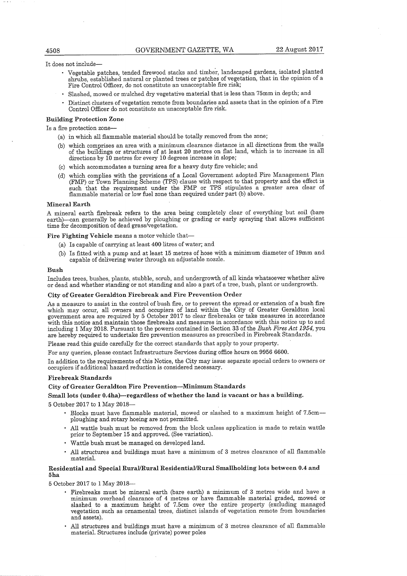It does not include—

- Vegetable patches, tended firewood stacks and timber, landscaped gardens, isolated planted shrubs, established natural or planted trees or patches of vegetation, that in the opinion of a Fire Control Officer, do not constitute an unacceptable fire risk;
- Slashed, mowed or mulched dry vegetative material that is less than 75mm in depth; and
- Distinct clusters of vegetation remote from boundaries and assets that in the opinion of a Fire Control Officer do not constitute an unacceptable fire risk.

#### Building Protection Zone

Is a fire protection zone—

- (a) in which aU flammable material should be totally removed from the zone;
- (b) which comprises an area with a minimum, clearance distance in all directions from the walls of the buildings or structures of at least 20 metres on flat land, which is to increase in aU directions by 10 metres for every 10 degrees increase in slope;
- (c) which accommodates a turning area for a heavy duty fire vehicle; and
- (d) which complies with the provisions of a Local Government adopted Fire Management Plan CFMP) or Town Planning Scheme (TPS) clause with respect to that property and the effect is such that the requirement under the FMP or TPS stipulates a greater area clear of flammable material or low fuel zone than required under part (b) above.

#### Mineral Earth

A mineral earth firebreak refers to the area being completely clear of everything but soil (bare earth)—can generally be achieved by ploughing or grading or early spraying that allows sufficient time for decomposition of dead grass/vegetation.

Fire Fighting Vehicle means a motor vehicle that—

- (a) Is capable of carrying at least  $400$  litres of water; and
- (b) Is fitted with a pump and at least 15 metres of hose with a minimum diameter of 19mm and capable of delivering water through an adjustable nozzle.

#### Bush

Includes trees, bushes, plants, stubble, scrub, and undergrowth of all kinds whatsoever whether alive or dead and whether standing or not standing and also a part of a tree, bush, plant or uadergrowth.

#### City of Greater Geraldton Firebreak and Fire Prevention Order

As a measure to assist in the control of bush fire, or to prevent the spread or extension of a bush fire which may occur, all owners and occupiers of land within the City of Greater Geraldton local government area are required by 5 October 2017 to clear firebreaks or take measures in accordance with this notice and maintain those firebreaks and measures in accordance with this notice up to and including 1 May 2018. Pursuant to the powers contained in Section 33 of the Bush Fires Act 1954, you are hereby required to undertake fire prevention measures as prescribed in Firebreak Standards.

Please read this guide carefaUy for the correct standards that apply to your property.

For any queries, please contact Infrastructure Services during office hours on 9956 6600.

In addition to the requirements of this Notice, the City may issue separate special orders to owners or occupiers if additional hazard reduction is considered necessary.

#### Firebreak Standards

# City of Greater Geraldton Fire Prevention—Minimum Standards

Small lots (under 0.4ha)—regardless of whether the land is vacant or has a building.

5 October 2017 to 1 May 2018—

- Blocks must have flammable material, mowed or slashed to a maximum height of 7.5cmploughing and rotary hoeiag are not permitted.
- All wattle bush must be removed from the block unless application is made to retain wattle prior to September 15 and approved. (See variation).
- Wattle bush must be managed on developed land.
- All structures and buildings must have a minimum of 3 metres clearance of all flammable material.

# Residential and Special Rural/Rural Eesidential/Rural Smallholding lots between 0.4 and 5ha

5 October 2017 to 1 May 2018—

- Firebreaks must be mineral earth (bare earth) a mimmum of 3 metres wide and have a minimum overhead clearance of 4 metres or have flammable material graded, mowed or slashed to a maximum height of 7.5cm over the entire property (excluding managed vegetation such as ornamental trees, distinct islands of vegetation remote from boundaries and assets).
- AH structures and buildings must have a minimum of 3 metres clearance of all flammable material. Structures include (private) power poles